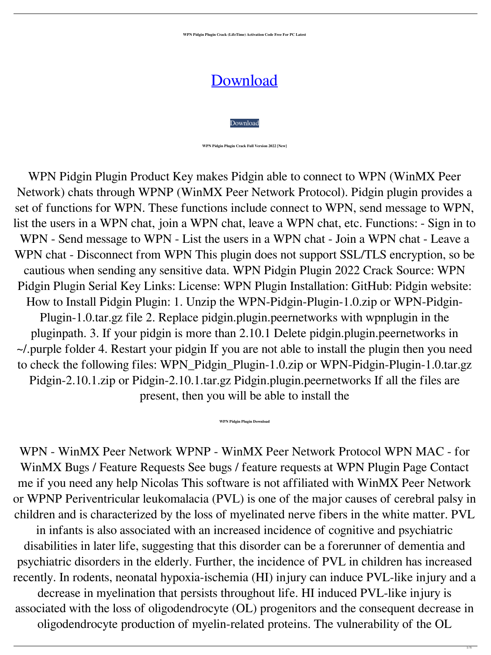**WPN Pidgin Plugin Crack (LifeTime) Activation Code Free For PC Latest**



[Download](http://evacdir.com/anaethetised/reverberation.V1BOIFBpZGdpbiBQbHVnaW4V1B?saurabh=/boris/burdock.onion.ZG93bmxvYWR8UU01WW5KbGZId3hOalUwTlRJeU1URXdmSHd5TlRnM2ZId29UU2tnU0dWeWIydDFJRnRHWVhOMElFZEZUbDA)

**WPN Pidgin Plugin Crack Full Version 2022 [New]**

WPN Pidgin Plugin Product Key makes Pidgin able to connect to WPN (WinMX Peer Network) chats through WPNP (WinMX Peer Network Protocol). Pidgin plugin provides a set of functions for WPN. These functions include connect to WPN, send message to WPN, list the users in a WPN chat, join a WPN chat, leave a WPN chat, etc. Functions: - Sign in to WPN - Send message to WPN - List the users in a WPN chat - Join a WPN chat - Leave a WPN chat - Disconnect from WPN This plugin does not support SSL/TLS encryption, so be cautious when sending any sensitive data. WPN Pidgin Plugin 2022 Crack Source: WPN Pidgin Plugin Serial Key Links: License: WPN Plugin Installation: GitHub: Pidgin website: How to Install Pidgin Plugin: 1. Unzip the WPN-Pidgin-Plugin-1.0.zip or WPN-Pidgin-Plugin-1.0.tar.gz file 2. Replace pidgin.plugin.peernetworks with wpnplugin in the pluginpath. 3. If your pidgin is more than 2.10.1 Delete pidgin.plugin.peernetworks in ~/.purple folder 4. Restart your pidgin If you are not able to install the plugin then you need to check the following files: WPN\_Pidgin\_Plugin-1.0.zip or WPN-Pidgin-Plugin-1.0.tar.gz Pidgin-2.10.1.zip or Pidgin-2.10.1.tar.gz Pidgin.plugin.peernetworks If all the files are present, then you will be able to install the

**WPN Pidgin Plugin Download**

WPN - WinMX Peer Network WPNP - WinMX Peer Network Protocol WPN MAC - for WinMX Bugs / Feature Requests See bugs / feature requests at WPN Plugin Page Contact me if you need any help Nicolas This software is not affiliated with WinMX Peer Network or WPNP Periventricular leukomalacia (PVL) is one of the major causes of cerebral palsy in children and is characterized by the loss of myelinated nerve fibers in the white matter. PVL in infants is also associated with an increased incidence of cognitive and psychiatric disabilities in later life, suggesting that this disorder can be a forerunner of dementia and psychiatric disorders in the elderly. Further, the incidence of PVL in children has increased

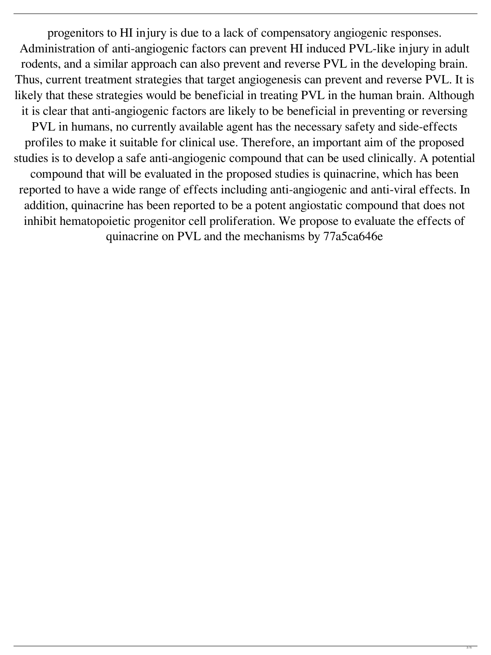progenitors to HI injury is due to a lack of compensatory angiogenic responses. Administration of anti-angiogenic factors can prevent HI induced PVL-like injury in adult rodents, and a similar approach can also prevent and reverse PVL in the developing brain. Thus, current treatment strategies that target angiogenesis can prevent and reverse PVL. It is likely that these strategies would be beneficial in treating PVL in the human brain. Although it is clear that anti-angiogenic factors are likely to be beneficial in preventing or reversing PVL in humans, no currently available agent has the necessary safety and side-effects profiles to make it suitable for clinical use. Therefore, an important aim of the proposed studies is to develop a safe anti-angiogenic compound that can be used clinically. A potential compound that will be evaluated in the proposed studies is quinacrine, which has been reported to have a wide range of effects including anti-angiogenic and anti-viral effects. In addition, quinacrine has been reported to be a potent angiostatic compound that does not inhibit hematopoietic progenitor cell proliferation. We propose to evaluate the effects of quinacrine on PVL and the mechanisms by 77a5ca646e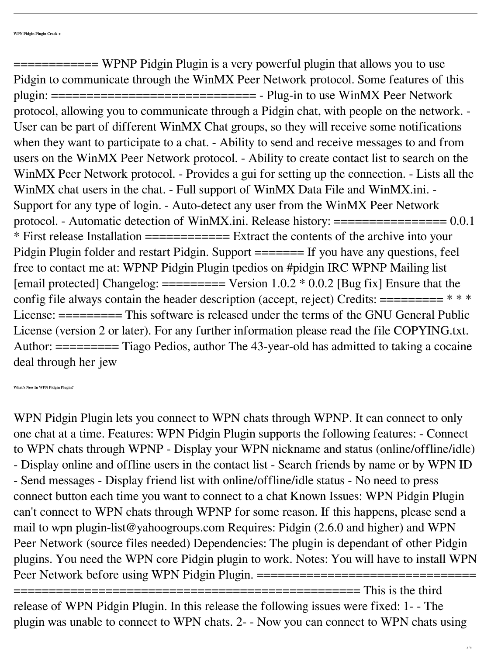============ WPNP Pidgin Plugin is a very powerful plugin that allows you to use Pidgin to communicate through the WinMX Peer Network protocol. Some features of this plugin: ============================= - Plug-in to use WinMX Peer Network protocol, allowing you to communicate through a Pidgin chat, with people on the network. - User can be part of different WinMX Chat groups, so they will receive some notifications when they want to participate to a chat. - Ability to send and receive messages to and from users on the WinMX Peer Network protocol. - Ability to create contact list to search on the WinMX Peer Network protocol. - Provides a gui for setting up the connection. - Lists all the WinMX chat users in the chat. - Full support of WinMX Data File and WinMX.ini. - Support for any type of login. - Auto-detect any user from the WinMX Peer Network protocol. - Automatic detection of WinMX.ini. Release history: ================ 0.0.1 \* First release Installation ============ Extract the contents of the archive into your Pidgin Plugin folder and restart Pidgin. Support ======= If you have any questions, feel free to contact me at: WPNP Pidgin Plugin tpedios on #pidgin IRC WPNP Mailing list [email protected] Changelog:  $=\equiv \equiv \equiv \equiv \equiv \equiv \equiv \equiv \equiv 1.002$  \* 0.0.2 [Bug fix] Ensure that the config file always contain the header description (accept, reject) Credits:  $======= \ast *$ License:  $======$  This software is released under the terms of the GNU General Public License (version 2 or later). For any further information please read the file COPYING.txt. Author: ========= Tiago Pedios, author The 43-year-old has admitted to taking a cocaine deal through her jew

**What's New In WPN Pidgin Plugin?**

WPN Pidgin Plugin lets you connect to WPN chats through WPNP. It can connect to only one chat at a time. Features: WPN Pidgin Plugin supports the following features: - Connect to WPN chats through WPNP - Display your WPN nickname and status (online/offline/idle) - Display online and offline users in the contact list - Search friends by name or by WPN ID - Send messages - Display friend list with online/offline/idle status - No need to press connect button each time you want to connect to a chat Known Issues: WPN Pidgin Plugin can't connect to WPN chats through WPNP for some reason. If this happens, please send a mail to wpn plugin-list@yahoogroups.com Requires: Pidgin (2.6.0 and higher) and WPN Peer Network (source files needed) Dependencies: The plugin is dependant of other Pidgin plugins. You need the WPN core Pidgin plugin to work. Notes: You will have to install WPN Peer Network before using WPN Pidgin Plugin. ===================================



## release of WPN Pidgin Plugin. In this release the following issues were fixed: 1- - The plugin was unable to connect to WPN chats. 2- - Now you can connect to WPN chats using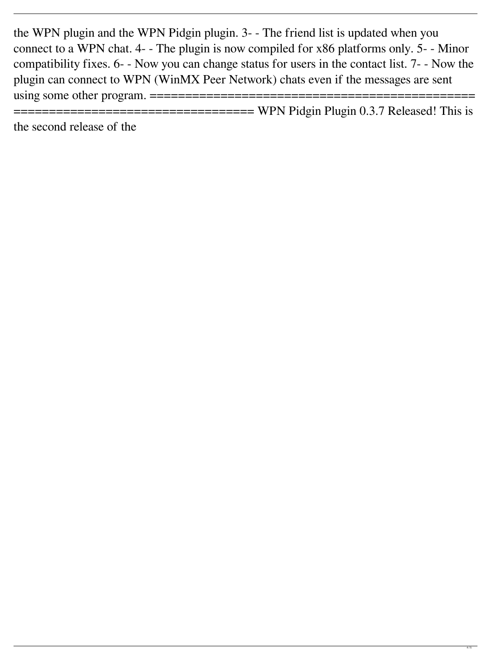the WPN plugin and the WPN Pidgin plugin. 3- - The friend list is updated when you connect to a WPN chat. 4- - The plugin is now compiled for x86 platforms only. 5- - Minor compatibility fixes. 6- - Now you can change status for users in the contact list. 7- - Now the plugin can connect to WPN (WinMX Peer Network) chats even if the messages are sent using some other program. ==============================================

==================================== WPN Pidgin Plugin 0.3.7 Released! This is the second release of the